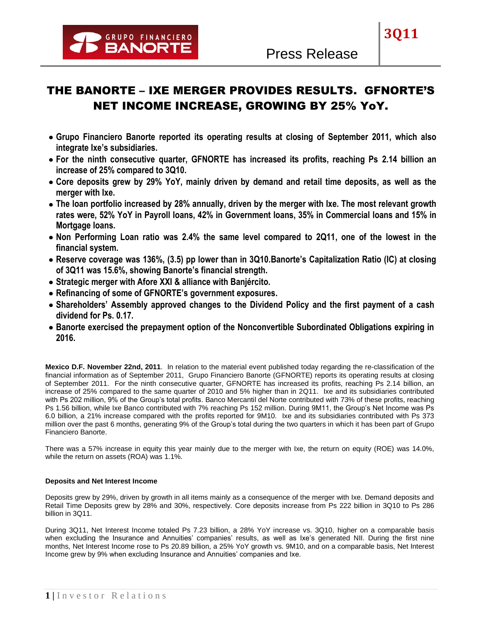

**3Q11**

# THE BANORTE – IXE MERGER PROVIDES RESULTS. GFNORTE'S NET INCOME INCREASE, GROWING BY 25% YoY.

- **Grupo Financiero Banorte reported its operating results at closing of September 2011, which also integrate Ixe's subsidiaries.**
- **For the ninth consecutive quarter, GFNORTE has increased its profits, reaching Ps 2.14 billion an increase of 25% compared to 3Q10.**
- **Core deposits grew by 29% YoY, mainly driven by demand and retail time deposits, as well as the merger with Ixe.**
- **The loan portfolio increased by 28% annually, driven by the merger with Ixe. The most relevant growth rates were, 52% YoY in Payroll loans, 42% in Government loans, 35% in Commercial loans and 15% in Mortgage loans.**
- **Non Performing Loan ratio was 2.4% the same level compared to 2Q11, one of the lowest in the financial system.**
- **Reserve coverage was 136%, (3.5) pp lower than in 3Q10.Banorte's Capitalization Ratio (IC) at closing of 3Q11 was 15.6%, showing Banorte's financial strength.**
- **Strategic merger with Afore XXI & alliance with Banjército.**
- **Refinancing of some of GFNORTE's government exposures.**
- **Shareholders' Assembly approved changes to the Dividend Policy and the first payment of a cash dividend for Ps. 0.17.**
- **Banorte exercised the prepayment option of the Nonconvertible Subordinated Obligations expiring in 2016.**

**Mexico D.F. November 22nd, 2011**. In relation to the material event published today regarding the re-classification of the financial information as of September 2011, Grupo Financiero Banorte (GFNORTE) reports its operating results at closing of September 2011. For the ninth consecutive quarter, GFNORTE has increased its profits, reaching Ps 2.14 billion, an increase of 25% compared to the same quarter of 2010 and 5% higher than in 2Q11. Ixe and its subsidiaries contributed with Ps 202 million, 9% of the Group's total profits. Banco Mercantil del Norte contributed with 73% of these profits, reaching Ps 1.56 billion, while Ixe Banco contributed with 7% reaching Ps 152 million. During 9M11, the Group's Net Income was Ps 6.0 billion, a 21% increase compared with the profits reported for 9M10. Ixe and its subsidiaries contributed with Ps 373 million over the past 6 months, generating 9% of the Group's total during the two quarters in which it has been part of Grupo Financiero Banorte.

There was a 57% increase in equity this year mainly due to the merger with Ixe, the return on equity (ROE) was 14.0%, while the return on assets (ROA) was 1.1%.

# **Deposits and Net Interest Income**

Deposits grew by 29%, driven by growth in all items mainly as a consequence of the merger with Ixe. Demand deposits and Retail Time Deposits grew by 28% and 30%, respectively. Core deposits increase from Ps 222 billion in 3Q10 to Ps 286 billion in 3Q11.

During 3Q11, Net Interest Income totaled Ps 7.23 billion, a 28% YoY increase vs. 3Q10, higher on a comparable basis when excluding the Insurance and Annuities' companies' results, as well as Ixe's generated NII. During the first nine months, Net Interest Income rose to Ps 20.89 billion, a 25% YoY growth vs. 9M10, and on a comparable basis, Net Interest Income grew by 9% when excluding Insurance and Annuities' companies and Ixe.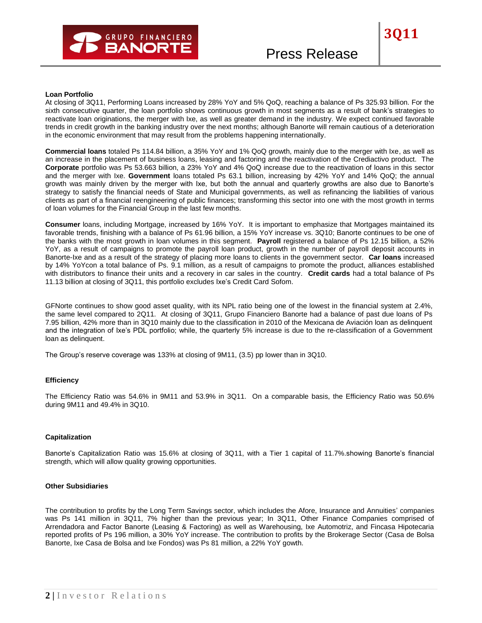

**3Q11**

At closing of 3Q11, Performing Loans increased by 28% YoY and 5% QoQ, reaching a balance of Ps 325.93 billion. For the sixth consecutive quarter, the loan portfolio shows continuous growth in most segments as a result of bank's strategies to reactivate loan originations, the merger with Ixe, as well as greater demand in the industry. We expect continued favorable trends in credit growth in the banking industry over the next months; although Banorte will remain cautious of a deterioration in the economic environment that may result from the problems happening internationally.

**Commercial loans** totaled Ps 114.84 billion, a 35% YoY and 1% QoQ growth, mainly due to the merger with Ixe, as well as an increase in the placement of business loans, leasing and factoring and the reactivation of the Crediactivo product. The **Corporate** portfolio was Ps 53.663 billion, a 23% YoY and 4% QoQ increase due to the reactivation of loans in this sector and the merger with Ixe. **Government** loans totaled Ps 63.1 billion, increasing by 42% YoY and 14% QoQ; the annual growth was mainly driven by the merger with Ixe, but both the annual and quarterly growths are also due to Banorte's strategy to satisfy the financial needs of State and Municipal governments, as well as refinancing the liabilities of various clients as part of a financial reengineering of public finances; transforming this sector into one with the most growth in terms of loan volumes for the Financial Group in the last few months.

**Consumer** loans, including Mortgage, increased by 16% YoY. It is important to emphasize that Mortgages maintained its favorable trends, finishing with a balance of Ps 61.96 billion, a 15% YoY increase vs. 3Q10; Banorte continues to be one of the banks with the most growth in loan volumes in this segment. **Payroll** registered a balance of Ps 12.15 billion, a 52% YoY, as a result of campaigns to promote the payroll loan product, growth in the number of payroll deposit accounts in Banorte-Ixe and as a result of the strategy of placing more loans to clients in the government sector. **Car loans** increased by 14% YoYcon a total balance of Ps. 9.1 million, as a result of campaigns to promote the product, alliances established with distributors to finance their units and a recovery in car sales in the country. **Credit cards** had a total balance of Ps 11.13 billion at closing of 3Q11, this portfolio excludes Ixe's Credit Card Sofom.

GFNorte continues to show good asset quality, with its NPL ratio being one of the lowest in the financial system at 2.4%, the same level compared to 2Q11. At closing of 3Q11, Grupo Financiero Banorte had a balance of past due loans of Ps 7.95 billion, 42% more than in 3Q10 mainly due to the classification in 2010 of the Mexicana de Aviación loan as delinquent and the integration of Ixe's PDL portfolio; while, the quarterly 5% increase is due to the re-classification of a Government loan as delinquent.

The Group's reserve coverage was 133% at closing of 9M11, (3.5) pp lower than in 3Q10.

## **Efficiency**

The Efficiency Ratio was 54.6% in 9M11 and 53.9% in 3Q11. On a comparable basis, the Efficiency Ratio was 50.6% during 9M11 and 49.4% in 3Q10.

#### **Capitalization**

Banorte's Capitalization Ratio was 15.6% at closing of 3Q11, with a Tier 1 capital of 11.7%.showing Banorte's financial strength, which will allow quality growing opportunities.

## **Other Subsidiaries**

The contribution to profits by the Long Term Savings sector, which includes the Afore, Insurance and Annuities' companies was Ps 141 million in 3Q11, 7% higher than the previous year; In 3Q11, Other Finance Companies comprised of Arrendadora and Factor Banorte (Leasing & Factoring) as well as Warehousing, Ixe Automotriz, and Fincasa Hipotecaria reported profits of Ps 196 million, a 30% YoY increase. The contribution to profits by the Brokerage Sector (Casa de Bolsa Banorte, Ixe Casa de Bolsa and Ixe Fondos) was Ps 81 million, a 22% YoY gowth.